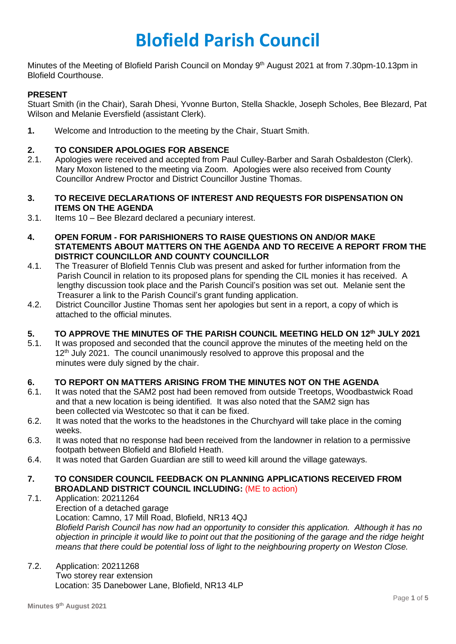# **Blofield Parish Council**

Minutes of the Meeting of Blofield Parish Council on Monday 9<sup>th</sup> August 2021 at from 7.30pm-10.13pm in Blofield Courthouse.

## **PRESENT**

Stuart Smith (in the Chair), Sarah Dhesi, Yvonne Burton, Stella Shackle, Joseph Scholes, Bee Blezard, Pat Wilson and Melanie Eversfield (assistant Clerk).

**1.** Welcome and Introduction to the meeting by the Chair, Stuart Smith.

### **2. TO CONSIDER APOLOGIES FOR ABSENCE**

- 2.1. Apologies were received and accepted from Paul Culley-Barber and Sarah Osbaldeston (Clerk). Mary Moxon listened to the meeting via Zoom. Apologies were also received from County Councillor Andrew Proctor and District Councillor Justine Thomas.
- **3. TO RECEIVE DECLARATIONS OF INTEREST AND REQUESTS FOR DISPENSATION ON ITEMS ON THE AGENDA**
- 3.1. Items 10 Bee Blezard declared a pecuniary interest.
- **4. OPEN FORUM - FOR PARISHIONERS TO RAISE QUESTIONS ON AND/OR MAKE STATEMENTS ABOUT MATTERS ON THE AGENDA AND TO RECEIVE A REPORT FROM THE DISTRICT COUNCILLOR AND COUNTY COUNCILLOR**
- 4.1. The Treasurer of Blofield Tennis Club was present and asked for further information from the Parish Council in relation to its proposed plans for spending the CIL monies it has received. A lengthy discussion took place and the Parish Council's position was set out. Melanie sent the Treasurer a link to the Parish Council's grant funding application.
- 4.2. District Councillor Justine Thomas sent her apologies but sent in a report, a copy of which is attached to the official minutes.

## **5. TO APPROVE THE MINUTES OF THE PARISH COUNCIL MEETING HELD ON 12 th JULY 2021**

5.1. It was proposed and seconded that the council approve the minutes of the meeting held on the 12<sup>th</sup> July 2021. The council unanimously resolved to approve this proposal and the minutes were duly signed by the chair.

#### **6. TO REPORT ON MATTERS ARISING FROM THE MINUTES NOT ON THE AGENDA**

- 6.1. It was noted that the SAM2 post had been removed from outside Treetops, Woodbastwick Road and that a new location is being identified. It was also noted that the SAM2 sign has been collected via Westcotec so that it can be fixed.
- 6.2. It was noted that the works to the headstones in the Churchyard will take place in the coming weeks.
- 6.3. It was noted that no response had been received from the landowner in relation to a permissive footpath between Blofield and Blofield Heath.
- 6.4. It was noted that Garden Guardian are still to weed kill around the village gateways.
- **7. TO CONSIDER COUNCIL FEEDBACK ON PLANNING APPLICATIONS RECEIVED FROM BROADLAND DISTRICT COUNCIL INCLUDING:** (ME to action)
- 7.1. Application: 20211264
	- Erection of a detached garage

Location: Camno, 17 Mill Road, Blofield, NR13 4QJ

 *Blofield Parish Council has now had an opportunity to consider this application. Although it has no objection in principle it would like to point out that the positioning of the garage and the ridge height means that there could be potential loss of light to the neighbouring property on Weston Close.* 

7.2. Application: 20211268 Two storey rear extension Location: 35 Danebower Lane, Blofield, NR13 4LP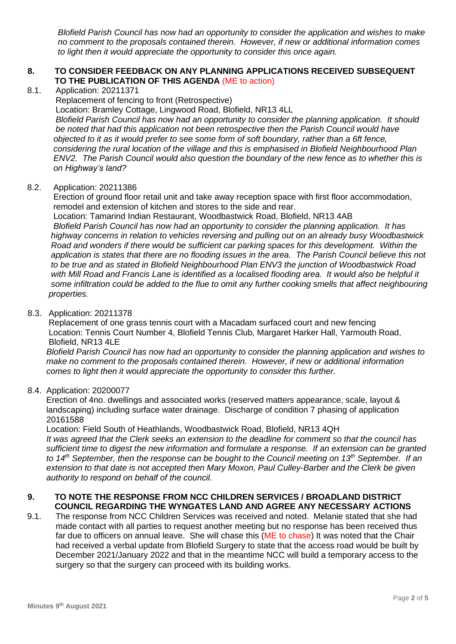*Blofield Parish Council has now had an opportunity to consider the application and wishes to make no comment to the proposals contained therein. However, if new or additional information comes to light then it would appreciate the opportunity to consider this once again.* 

#### **8. TO CONSIDER FEEDBACK ON ANY PLANNING APPLICATIONS RECEIVED SUBSEQUENT TO THE PUBLICATION OF THIS AGENDA** (ME to action)

8.1. Application: 20211371

Replacement of fencing to front (Retrospective)

 Location: Bramley Cottage, Lingwood Road, Blofield, NR13 4LL *Blofield Parish Council has now had an opportunity to consider the planning application. It should be noted that had this application not been retrospective then the Parish Council would have objected to it as it would prefer to see some form of soft boundary, rather than a 6ft fence, considering the rural location of the village and this is emphasised in Blofield Neighbourhood Plan ENV2. The Parish Council would also question the boundary of the new fence as to whether this is on Highway's land?* 

### 8.2. Application: 20211386

 Erection of ground floor retail unit and take away reception space with first floor accommodation, remodel and extension of kitchen and stores to the side and rear.

 Location: Tamarind Indian Restaurant, Woodbastwick Road, Blofield, NR13 4AB *Blofield Parish Council has now had an opportunity to consider the planning application. It has highway concerns in relation to vehicles reversing and pulling out on an already busy Woodbastwick Road and wonders if there would be sufficient car parking spaces for this development. Within the application is states that there are no flooding issues in the area. The Parish Council believe this not to be true and as stated in Blofield Neighbourhood Plan ENV3 the junction of Woodbastwick Road with Mill Road and Francis Lane is identified as a localised flooding area. It would also be helpful it some infiltration could be added to the flue to omit any further cooking smells that affect neighbouring properties.* 

#### 8.3. Application: 20211378

 Replacement of one grass tennis court with a Macadam surfaced court and new fencing Location: Tennis Court Number 4, Blofield Tennis Club, Margaret Harker Hall, Yarmouth Road, Blofield, NR13 4LE

*Blofield Parish Council has now had an opportunity to consider the planning application and wishes to make no comment to the proposals contained therein. However, if new or additional information comes to light then it would appreciate the opportunity to consider this further.* 

#### 8.4. Application: 20200077

 Erection of 4no. dwellings and associated works (reserved matters appearance, scale, layout & landscaping) including surface water drainage. Discharge of condition 7 phasing of application 20161588

 Location: Field South of Heathlands, Woodbastwick Road, Blofield, NR13 4QH *It was agreed that the Clerk seeks an extension to the deadline for comment so that the council has sufficient time to digest the new information and formulate a response. If an extension can be granted to 14th September, then the response can be bought to the Council meeting on 13th September. If an extension to that date is not accepted then Mary Moxon, Paul Culley-Barber and the Clerk be given authority to respond on behalf of the council.* 

#### **9. TO NOTE THE RESPONSE FROM NCC CHILDREN SERVICES / BROADLAND DISTRICT COUNCIL REGARDING THE WYNGATES LAND AND AGREE ANY NECESSARY ACTIONS**

9.1. The response from NCC Children Services was received and noted. Melanie stated that she had made contact with all parties to request another meeting but no response has been received thus far due to officers on annual leave. She will chase this (ME to chase) It was noted that the Chair had received a verbal update from Blofield Surgery to state that the access road would be built by December 2021/January 2022 and that in the meantime NCC will build a temporary access to the surgery so that the surgery can proceed with its building works.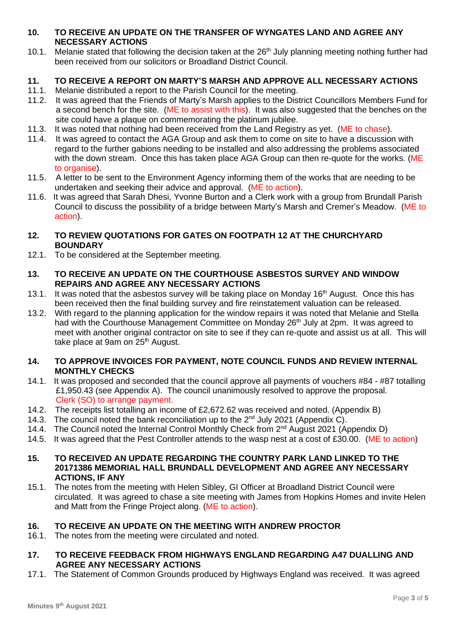#### **10. TO RECEIVE AN UPDATE ON THE TRANSFER OF WYNGATES LAND AND AGREE ANY NECESSARY ACTIONS**

10.1. Melanie stated that following the decision taken at the 26<sup>th</sup> July planning meeting nothing further had been received from our solicitors or Broadland District Council.

# **11. TO RECEIVE A REPORT ON MARTY'S MARSH AND APPROVE ALL NECESSARY ACTIONS**

- 11.1. Melanie distributed a report to the Parish Council for the meeting.
- 11.2. It was agreed that the Friends of Marty's Marsh applies to the District Councillors Members Fund for a second bench for the site. (ME to assist with this). It was also suggested that the benches on the site could have a plaque on commemorating the platinum jubilee.
- 11.3. It was noted that nothing had been received from the Land Registry as yet. (ME to chase).
- 11.4. It was agreed to contact the AGA Group and ask them to come on site to have a discussion with regard to the further gabions needing to be installed and also addressing the problems associated with the down stream. Once this has taken place AGA Group can then re-quote for the works. (ME to organise).
- 11.5. A letter to be sent to the Environment Agency informing them of the works that are needing to be undertaken and seeking their advice and approval. (ME to action).
- 11.6. It was agreed that Sarah Dhesi, Yvonne Burton and a Clerk work with a group from Brundall Parish Council to discuss the possibility of a bridge between Marty's Marsh and Cremer's Meadow. (ME to action).

## **12. TO REVIEW QUOTATIONS FOR GATES ON FOOTPATH 12 AT THE CHURCHYARD BOUNDARY**

- 12.1. To be considered at the September meeting.
- **13. TO RECEIVE AN UPDATE ON THE COURTHOUSE ASBESTOS SURVEY AND WINDOW REPAIRS AND AGREE ANY NECESSARY ACTIONS**
- 13.1. It was noted that the asbestos survey will be taking place on Monday 16<sup>th</sup> August. Once this has been received then the final building survey and fire reinstatement valuation can be released.
- 13.2. With regard to the planning application for the window repairs it was noted that Melanie and Stella had with the Courthouse Management Committee on Monday 26<sup>th</sup> July at 2pm. It was agreed to meet with another original contractor on site to see if they can re-quote and assist us at all. This will take place at 9am on 25<sup>th</sup> August.

### **14. TO APPROVE INVOICES FOR PAYMENT, NOTE COUNCIL FUNDS AND REVIEW INTERNAL MONTHLY CHECKS**

- 14.1. It was proposed and seconded that the council approve all payments of vouchers #84 #87 totalling £1,950.43 (see Appendix A). The council unanimously resolved to approve the proposal. Clerk (SO) to arrange payment.
- 14.2. The receipts list totalling an income of £2,672.62 was received and noted. (Appendix B)
- 14.3. The council noted the bank reconciliation up to the  $2^{nd}$  July 2021 (Appendix C).
- 14.4. The Council noted the Internal Control Monthly Check from 2<sup>nd</sup> August 2021 (Appendix D)
- 14.5. It was agreed that the Pest Controller attends to the wasp nest at a cost of £30.00. (ME to action)
- **15. TO RECEIVED AN UPDATE REGARDING THE COUNTRY PARK LAND LINKED TO THE 20171386 MEMORIAL HALL BRUNDALL DEVELOPMENT AND AGREE ANY NECESSARY ACTIONS, IF ANY**
- 15.1. The notes from the meeting with Helen Sibley, GI Officer at Broadland District Council were circulated. It was agreed to chase a site meeting with James from Hopkins Homes and invite Helen and Matt from the Fringe Project along. (ME to action).

# **16. TO RECEIVE AN UPDATE ON THE MEETING WITH ANDREW PROCTOR**

16.1. The notes from the meeting were circulated and noted.

### **17. TO RECEIVE FEEDBACK FROM HIGHWAYS ENGLAND REGARDING A47 DUALLING AND AGREE ANY NECESSARY ACTIONS**

17.1. The Statement of Common Grounds produced by Highways England was received. It was agreed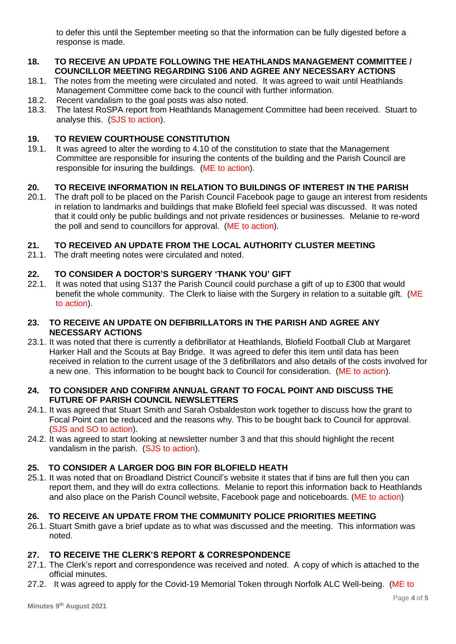to defer this until the September meeting so that the information can be fully digested before a response is made.

#### **18. TO RECEIVE AN UPDATE FOLLOWING THE HEATHLANDS MANAGEMENT COMMITTEE / COUNCILLOR MEETING REGARDING S106 AND AGREE ANY NECESSARY ACTIONS**

- 18.1. The notes from the meeting were circulated and noted. It was agreed to wait until Heathlands Management Committee come back to the council with further information.
- 18.2. Recent vandalism to the goal posts was also noted.
- 18.3. The latest RoSPA report from Heathlands Management Committee had been received. Stuart to analyse this. (SJS to action).

# **19. TO REVIEW COURTHOUSE CONSTITUTION**

19.1. It was agreed to alter the wording to 4.10 of the constitution to state that the Management Committee are responsible for insuring the contents of the building and the Parish Council are responsible for insuring the buildings. (ME to action).

# **20. TO RECEIVE INFORMATION IN RELATION TO BUILDINGS OF INTEREST IN THE PARISH**

20.1. The draft poll to be placed on the Parish Council Facebook page to gauge an interest from residents in relation to landmarks and buildings that make Blofield feel special was discussed. It was noted that it could only be public buildings and not private residences or businesses. Melanie to re-word the poll and send to councillors for approval. (ME to action).

### **21. TO RECEIVED AN UPDATE FROM THE LOCAL AUTHORITY CLUSTER MEETING**

21.1. The draft meeting notes were circulated and noted.

# **22. TO CONSIDER A DOCTOR'S SURGERY 'THANK YOU' GIFT**

22.1. It was noted that using S137 the Parish Council could purchase a gift of up to £300 that would benefit the whole community. The Clerk to liaise with the Surgery in relation to a suitable gift. (ME to action).

#### **23. TO RECEIVE AN UPDATE ON DEFIBRILLATORS IN THE PARISH AND AGREE ANY NECESSARY ACTIONS**

23.1. It was noted that there is currently a defibrillator at Heathlands, Blofield Football Club at Margaret Harker Hall and the Scouts at Bay Bridge. It was agreed to defer this item until data has been received in relation to the current usage of the 3 defibrillators and also details of the costs involved for a new one. This information to be bought back to Council for consideration. (ME to action).

#### **24. TO CONSIDER AND CONFIRM ANNUAL GRANT TO FOCAL POINT AND DISCUSS THE FUTURE OF PARISH COUNCIL NEWSLETTERS**

- 24.1. It was agreed that Stuart Smith and Sarah Osbaldeston work together to discuss how the grant to Focal Point can be reduced and the reasons why. This to be bought back to Council for approval. (SJS and SO to action).
- 24.2. It was agreed to start looking at newsletter number 3 and that this should highlight the recent vandalism in the parish. (SJS to action).

## **25. TO CONSIDER A LARGER DOG BIN FOR BLOFIELD HEATH**

25.1. It was noted that on Broadland District Council's website it states that if bins are full then you can report them, and they will do extra collections. Melanie to report this information back to Heathlands and also place on the Parish Council website, Facebook page and noticeboards. (ME to action)

### **26. TO RECEIVE AN UPDATE FROM THE COMMUNITY POLICE PRIORITIES MEETING**

26.1. Stuart Smith gave a brief update as to what was discussed and the meeting. This information was noted.

### **27. TO RECEIVE THE CLERK'S REPORT & CORRESPONDENCE**

- 27.1. The Clerk's report and correspondence was received and noted. A copy of which is attached to the official minutes.
- 27.2. It was agreed to apply for the Covid-19 Memorial Token through Norfolk ALC Well-being. (ME to